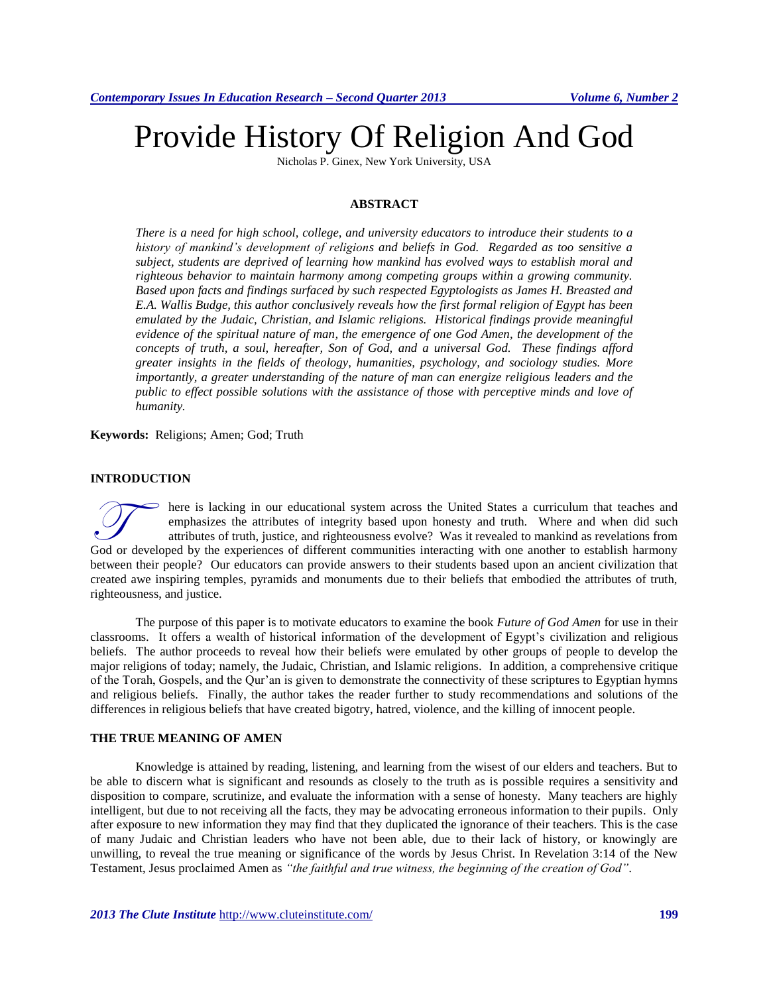# Provide History Of Religion And God

Nicholas P. Ginex, New York University, USA

# **ABSTRACT**

*There is a need for high school, college, and university educators to introduce their students to a history of mankind's development of religions and beliefs in God. Regarded as too sensitive a subject, students are deprived of learning how mankind has evolved ways to establish moral and righteous behavior to maintain harmony among competing groups within a growing community. Based upon facts and findings surfaced by such respected Egyptologists as James H. Breasted and E.A. Wallis Budge, this author conclusively reveals how the first formal religion of Egypt has been emulated by the Judaic, Christian, and Islamic religions. Historical findings provide meaningful evidence of the spiritual nature of man, the emergence of one God Amen, the development of the concepts of truth, a soul, hereafter, Son of God, and a universal God. These findings afford greater insights in the fields of theology, humanities, psychology, and sociology studies. More importantly, a greater understanding of the nature of man can energize religious leaders and the public to effect possible solutions with the assistance of those with perceptive minds and love of humanity.*

**Keywords:** Religions; Amen; God; Truth

# **INTRODUCTION**

here is lacking in our educational system across the United States a curriculum that teaches and emphasizes the attributes of integrity based upon honesty and truth. Where and when did such attributes of truth, justice, and righteousness evolve? Was it revealed to mankind as revelations from There is lacking in our educational system across the United States a curriculum that teaches and emphasizes the attributes of integrity based upon honesty and truth. Where and when did such attributes of truth, justice, a between their people? Our educators can provide answers to their students based upon an ancient civilization that created awe inspiring temples, pyramids and monuments due to their beliefs that embodied the attributes of truth, righteousness, and justice.

The purpose of this paper is to motivate educators to examine the book *Future of God Amen* for use in their classrooms. It offers a wealth of historical information of the development of Egypt's civilization and religious beliefs. The author proceeds to reveal how their beliefs were emulated by other groups of people to develop the major religions of today; namely, the Judaic, Christian, and Islamic religions. In addition, a comprehensive critique of the Torah, Gospels, and the Qur'an is given to demonstrate the connectivity of these scriptures to Egyptian hymns and religious beliefs. Finally, the author takes the reader further to study recommendations and solutions of the differences in religious beliefs that have created bigotry, hatred, violence, and the killing of innocent people.

# **THE TRUE MEANING OF AMEN**

Knowledge is attained by reading, listening, and learning from the wisest of our elders and teachers. But to be able to discern what is significant and resounds as closely to the truth as is possible requires a sensitivity and disposition to compare, scrutinize, and evaluate the information with a sense of honesty. Many teachers are highly intelligent, but due to not receiving all the facts, they may be advocating erroneous information to their pupils. Only after exposure to new information they may find that they duplicated the ignorance of their teachers. This is the case of many Judaic and Christian leaders who have not been able, due to their lack of history, or knowingly are unwilling, to reveal the true meaning or significance of the words by Jesus Christ. In Revelation 3:14 of the New Testament, Jesus proclaimed Amen as *"the faithful and true witness, the beginning of the creation of God".*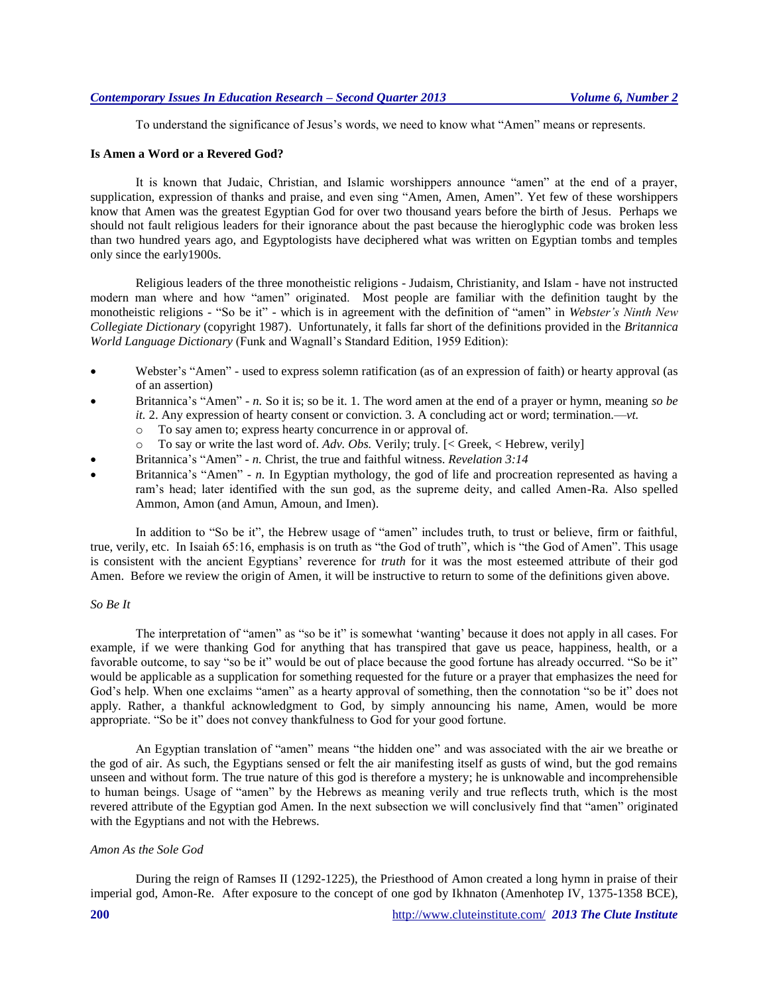To understand the significance of Jesus's words, we need to know what "Amen" means or represents.

# **Is Amen a Word or a Revered God?**

It is known that Judaic, Christian, and Islamic worshippers announce "amen" at the end of a prayer, supplication, expression of thanks and praise, and even sing "Amen, Amen, Amen". Yet few of these worshippers know that Amen was the greatest Egyptian God for over two thousand years before the birth of Jesus. Perhaps we should not fault religious leaders for their ignorance about the past because the hieroglyphic code was broken less than two hundred years ago, and Egyptologists have deciphered what was written on Egyptian tombs and temples only since the early1900s.

Religious leaders of the three monotheistic religions - Judaism, Christianity, and Islam - have not instructed modern man where and how "amen" originated. Most people are familiar with the definition taught by the monotheistic religions - "So be it" - which is in agreement with the definition of "amen" in *Webster's Ninth New Collegiate Dictionary* (copyright 1987). Unfortunately, it falls far short of the definitions provided in the *Britannica World Language Dictionary* (Funk and Wagnall's Standard Edition, 1959 Edition):

- Webster's "Amen" used to express solemn ratification (as of an expression of faith) or hearty approval (as of an assertion)
- Britannica's "Amen" *- n.* So it is; so be it. 1. The word amen at the end of a prayer or hymn, meaning *so be it.* 2. Any expression of hearty consent or conviction. 3. A concluding act or word; termination.—*vt.*
	- o To say amen to; express hearty concurrence in or approval of.
	- o To say or write the last word of. *Adv. Obs.* Verily; truly. [< Greek, < Hebrew, verily]
- Britannica's "Amen" *- n.* Christ, the true and faithful witness. *Revelation 3:14*
- Britannica's "Amen" *- n.* In Egyptian mythology, the god of life and procreation represented as having a ram's head; later identified with the sun god, as the supreme deity, and called Amen-Ra. Also spelled Ammon, Amon (and Amun, Amoun, and Imen).

In addition to "So be it", the Hebrew usage of "amen" includes truth, to trust or believe, firm or faithful, true, verily, etc. In Isaiah 65:16, emphasis is on truth as "the God of truth", which is "the God of Amen". This usage is consistent with the ancient Egyptians' reverence for *truth* for it was the most esteemed attribute of their god Amen. Before we review the origin of Amen, it will be instructive to return to some of the definitions given above.

#### *So Be It*

The interpretation of "amen" as "so be it" is somewhat 'wanting' because it does not apply in all cases. For example, if we were thanking God for anything that has transpired that gave us peace, happiness, health, or a favorable outcome, to say "so be it" would be out of place because the good fortune has already occurred. "So be it" would be applicable as a supplication for something requested for the future or a prayer that emphasizes the need for God's help. When one exclaims "amen" as a hearty approval of something, then the connotation "so be it" does not apply. Rather, a thankful acknowledgment to God, by simply announcing his name, Amen, would be more appropriate. "So be it" does not convey thankfulness to God for your good fortune.

An Egyptian translation of "amen" means "the hidden one" and was associated with the air we breathe or the god of air. As such, the Egyptians sensed or felt the air manifesting itself as gusts of wind, but the god remains unseen and without form. The true nature of this god is therefore a mystery; he is unknowable and incomprehensible to human beings. Usage of "amen" by the Hebrews as meaning verily and true reflects truth, which is the most revered attribute of the Egyptian god Amen. In the next subsection we will conclusively find that "amen" originated with the Egyptians and not with the Hebrews.

# *Amon As the Sole God*

During the reign of Ramses II (1292-1225), the Priesthood of Amon created a long hymn in praise of their imperial god, Amon-Re. After exposure to the concept of one god by Ikhnaton (Amenhotep IV, 1375-1358 BCE),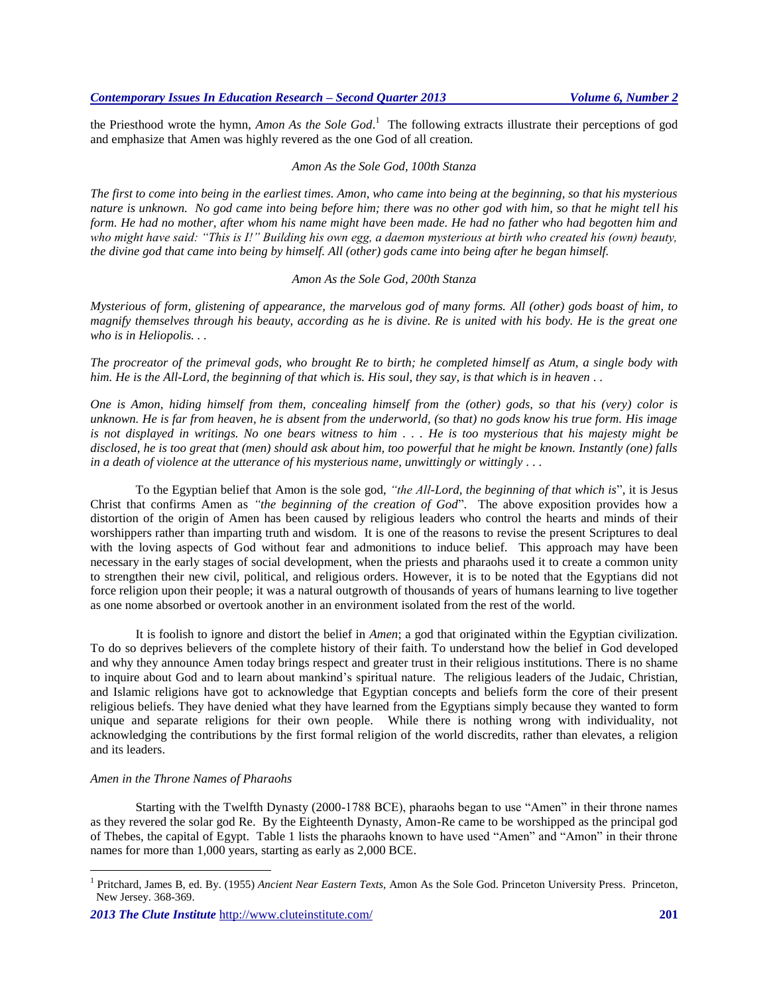the Priesthood wrote the hymn, *Amon As the Sole God*. <sup>1</sup> The following extracts illustrate their perceptions of god and emphasize that Amen was highly revered as the one God of all creation.

## *Amon As the Sole God, 100th Stanza*

*The first to come into being in the earliest times. Amon, who came into being at the beginning, so that his mysterious nature is unknown. No god came into being before him; there was no other god with him, so that he might tell his form. He had no mother, after whom his name might have been made. He had no father who had begotten him and who might have said: "This is I!" Building his own egg, a daemon mysterious at birth who created his (own) beauty, the divine god that came into being by himself. All (other) gods came into being after he began himself.*

#### *Amon As the Sole God, 200th Stanza*

*Mysterious of form, glistening of appearance, the marvelous god of many forms. All (other) gods boast of him, to magnify themselves through his beauty, according as he is divine. Re is united with his body. He is the great one who is in Heliopolis. . .*

*The procreator of the primeval gods, who brought Re to birth; he completed himself as Atum, a single body with him. He is the All-Lord, the beginning of that which is. His soul, they say, is that which is in heaven . .* 

*One is Amon, hiding himself from them, concealing himself from the (other) gods, so that his (very) color is unknown. He is far from heaven, he is absent from the underworld, (so that) no gods know his true form. His image is not displayed in writings. No one bears witness to him . . . He is too mysterious that his majesty might be disclosed, he is too great that (men) should ask about him, too powerful that he might be known. Instantly (one) falls in a death of violence at the utterance of his mysterious name, unwittingly or wittingly . . .*

To the Egyptian belief that Amon is the sole god, *"the All-Lord, the beginning of that which is*", it is Jesus Christ that confirms Amen as *"the beginning of the creation of God*". The above exposition provides how a distortion of the origin of Amen has been caused by religious leaders who control the hearts and minds of their worshippers rather than imparting truth and wisdom. It is one of the reasons to revise the present Scriptures to deal with the loving aspects of God without fear and admonitions to induce belief. This approach may have been necessary in the early stages of social development, when the priests and pharaohs used it to create a common unity to strengthen their new civil, political, and religious orders. However, it is to be noted that the Egyptians did not force religion upon their people; it was a natural outgrowth of thousands of years of humans learning to live together as one nome absorbed or overtook another in an environment isolated from the rest of the world.

It is foolish to ignore and distort the belief in *Amen*; a god that originated within the Egyptian civilization. To do so deprives believers of the complete history of their faith. To understand how the belief in God developed and why they announce Amen today brings respect and greater trust in their religious institutions. There is no shame to inquire about God and to learn about mankind's spiritual nature. The religious leaders of the Judaic, Christian, and Islamic religions have got to acknowledge that Egyptian concepts and beliefs form the core of their present religious beliefs. They have denied what they have learned from the Egyptians simply because they wanted to form unique and separate religions for their own people. While there is nothing wrong with individuality, not acknowledging the contributions by the first formal religion of the world discredits, rather than elevates, a religion and its leaders.

#### *Amen in the Throne Names of Pharaohs*

 $\overline{a}$ 

Starting with the Twelfth Dynasty (2000-1788 BCE), pharaohs began to use "Amen" in their throne names as they revered the solar god Re. By the Eighteenth Dynasty, Amon-Re came to be worshipped as the principal god of Thebes, the capital of Egypt. Table 1 lists the pharaohs known to have used "Amen" and "Amon" in their throne names for more than 1,000 years, starting as early as 2,000 BCE.

<sup>1</sup> Pritchard, James B, ed. By. (1955) *Ancient Near Eastern Texts,* Amon As the Sole God. Princeton University Press. Princeton, New Jersey. 368-369.

*<sup>2013</sup> The Clute Institute* <http://www.cluteinstitute.com/> **201**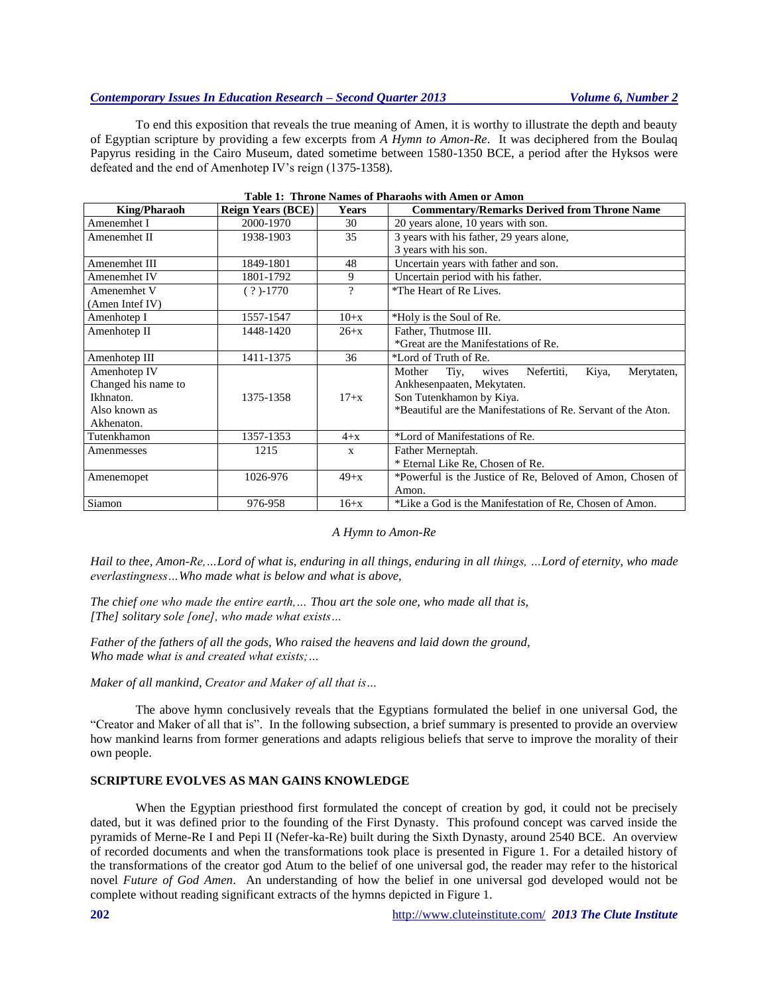# *Contemporary Issues In Education Research – Second Quarter 2013 Volume 6, Number 2*

To end this exposition that reveals the true meaning of Amen, it is worthy to illustrate the depth and beauty of Egyptian scripture by providing a few excerpts from *A Hymn to Amon-Re*. It was deciphered from the Boulaq Papyrus residing in the Cairo Museum, dated sometime between 1580-1350 BCE, a period after the Hyksos were defeated and the end of Amenhotep IV's reign (1375-1358).

| <b>King/Pharaoh</b> | <b>Reign Years (BCE)</b> | <b>Years</b> | <b>Commentary/Remarks Derived from Throne Name</b>            |  |
|---------------------|--------------------------|--------------|---------------------------------------------------------------|--|
| Amenemhet I         | 2000-1970                | 30           | 20 years alone, 10 years with son.                            |  |
| Amenemhet II        | 1938-1903                | 35           | 3 years with his father, 29 years alone,                      |  |
|                     |                          |              | 3 years with his son.                                         |  |
| Amenemhet III       | 1849-1801                | 48           | Uncertain years with father and son.                          |  |
| Amenemhet IV        | 1801-1792                | 9            | Uncertain period with his father.                             |  |
| Amenemhet V         | $(?) - 1770$             | ?            | *The Heart of Re Lives.                                       |  |
| (Amen Intef IV)     |                          |              |                                                               |  |
| Amenhotep I         | 1557-1547                | $10+x$       | *Holy is the Soul of Re.                                      |  |
| Amenhotep II        | 1448-1420                | $26+x$       | Father, Thutmose III.                                         |  |
|                     |                          |              | *Great are the Manifestations of Re.                          |  |
| Amenhotep III       | 1411-1375                | 36           | *Lord of Truth of Re.                                         |  |
| Amenhotep IV        |                          |              | Kiya,<br>Nefertiti,<br>Mother<br>Tiy,<br>Merytaten,<br>wives  |  |
| Changed his name to |                          |              | Ankhesenpaaten, Mekytaten.                                    |  |
| Ikhnaton.           | 1375-1358                | $17+x$       | Son Tutenkhamon by Kiya.                                      |  |
| Also known as       |                          |              | *Beautiful are the Manifestations of Re. Servant of the Aton. |  |
| Akhenaton.          |                          |              |                                                               |  |
| Tutenkhamon         | 1357-1353                | $4+x$        | *Lord of Manifestations of Re.                                |  |
| Amenmesses          | 1215                     | $\mathbf{x}$ | Father Merneptah.                                             |  |
|                     |                          |              | * Eternal Like Re, Chosen of Re.                              |  |
| Amenemopet          | 1026-976                 | $49+x$       | *Powerful is the Justice of Re, Beloved of Amon, Chosen of    |  |
|                     |                          |              | Amon.                                                         |  |
| Siamon              | 976-958                  | $16+x$       | *Like a God is the Manifestation of Re, Chosen of Amon.       |  |

|  | Table 1: Throne Names of Pharaohs with Amen or Amon |
|--|-----------------------------------------------------|
|  |                                                     |

#### *A Hymn to Amon-Re*

*Hail to thee, Amon-Re,…Lord of what is, enduring in all things, enduring in all things, …Lord of eternity, who made everlastingness…Who made what is below and what is above,*

*The chief one who made the entire earth,… Thou art the sole one, who made all that is, [The] solitary sole [one], who made what exists…*

*Father of the fathers of all the gods, Who raised the heavens and laid down the ground, Who made what is and created what exists;…*

*Maker of all mankind, Creator and Maker of all that is…*

The above hymn conclusively reveals that the Egyptians formulated the belief in one universal God, the "Creator and Maker of all that is". In the following subsection, a brief summary is presented to provide an overview how mankind learns from former generations and adapts religious beliefs that serve to improve the morality of their own people.

# **SCRIPTURE EVOLVES AS MAN GAINS KNOWLEDGE**

When the Egyptian priesthood first formulated the concept of creation by god, it could not be precisely dated, but it was defined prior to the founding of the First Dynasty. This profound concept was carved inside the pyramids of Merne-Re I and Pepi II (Nefer-ka-Re) built during the Sixth Dynasty, around 2540 BCE. An overview of recorded documents and when the transformations took place is presented in Figure 1. For a detailed history of the transformations of the creator god Atum to the belief of one universal god, the reader may refer to the historical novel *Future of God Amen*. An understanding of how the belief in one universal god developed would not be complete without reading significant extracts of the hymns depicted in Figure 1.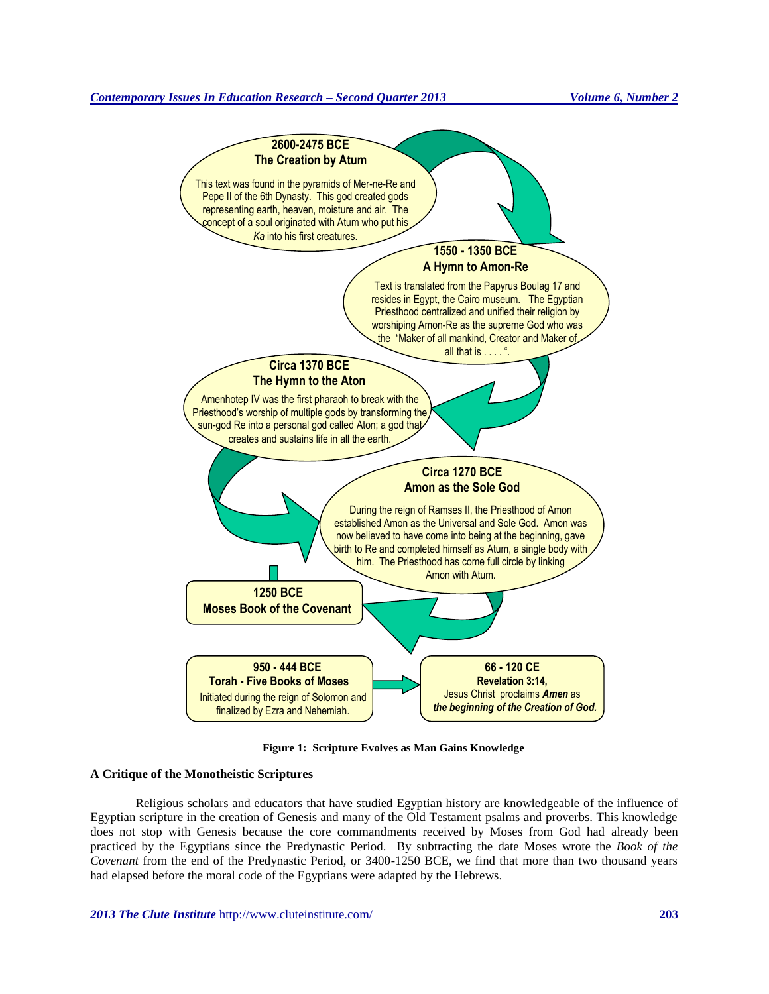

**Figure 1: Scripture Evolves as Man Gains Knowledge**

## **A Critique of the Monotheistic Scriptures**

Religious scholars and educators that have studied Egyptian history are knowledgeable of the influence of Egyptian scripture in the creation of Genesis and many of the Old Testament psalms and proverbs. This knowledge does not stop with Genesis because the core commandments received by Moses from God had already been practiced by the Egyptians since the Predynastic Period. By subtracting the date Moses wrote the *Book of the Covenant* from the end of the Predynastic Period, or 3400-1250 BCE, we find that more than two thousand years had elapsed before the moral code of the Egyptians were adapted by the Hebrews.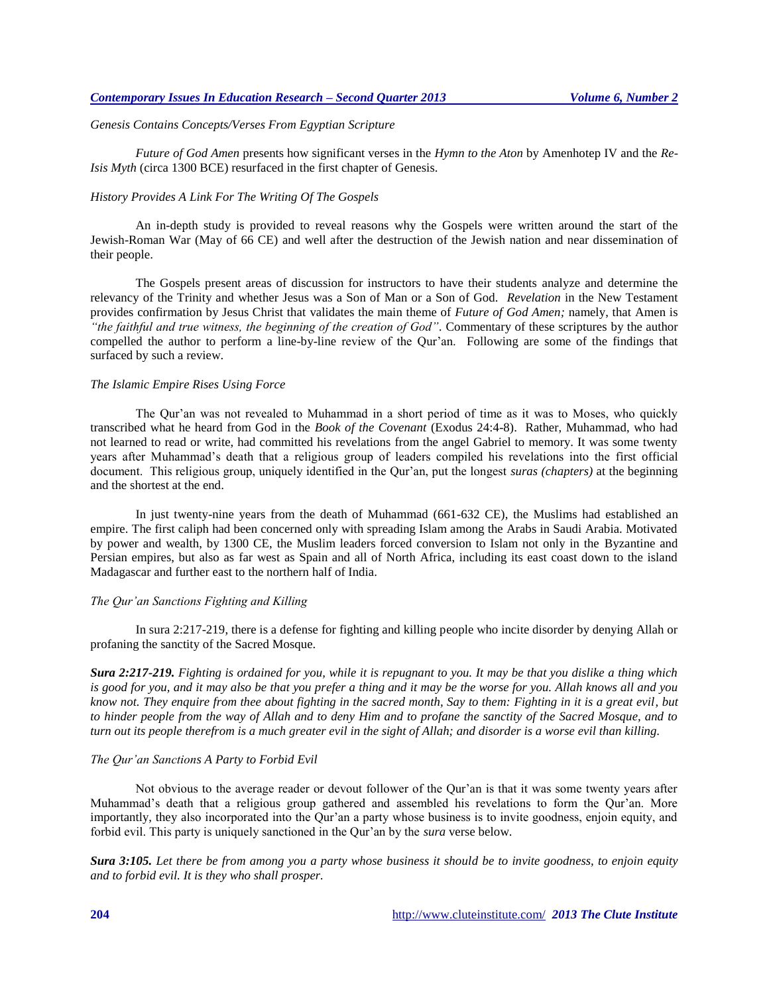## *Genesis Contains Concepts/Verses From Egyptian Scripture*

*Future of God Amen* presents how significant verses in the *Hymn to the Aton* by Amenhotep IV and the *Re-Isis Myth* (circa 1300 BCE) resurfaced in the first chapter of Genesis.

## *History Provides A Link For The Writing Of The Gospels*

An in-depth study is provided to reveal reasons why the Gospels were written around the start of the Jewish-Roman War (May of 66 CE) and well after the destruction of the Jewish nation and near dissemination of their people.

The Gospels present areas of discussion for instructors to have their students analyze and determine the relevancy of the Trinity and whether Jesus was a Son of Man or a Son of God. *Revelation* in the New Testament provides confirmation by Jesus Christ that validates the main theme of *Future of God Amen;* namely, that Amen is *"the faithful and true witness, the beginning of the creation of God".* Commentary of these scriptures by the author compelled the author to perform a line-by-line review of the Qur'an. Following are some of the findings that surfaced by such a review.

#### *The Islamic Empire Rises Using Force*

The Qur'an was not revealed to Muhammad in a short period of time as it was to Moses, who quickly transcribed what he heard from God in the *Book of the Covenant* (Exodus 24:4-8). Rather, Muhammad, who had not learned to read or write, had committed his revelations from the angel Gabriel to memory. It was some twenty years after Muhammad's death that a religious group of leaders compiled his revelations into the first official document. This religious group, uniquely identified in the Qur'an, put the longest *suras (chapters)* at the beginning and the shortest at the end.

In just twenty-nine years from the death of Muhammad (661-632 CE), the Muslims had established an empire. The first caliph had been concerned only with spreading Islam among the Arabs in Saudi Arabia. Motivated by power and wealth, by 1300 CE, the Muslim leaders forced conversion to Islam not only in the Byzantine and Persian empires, but also as far west as Spain and all of North Africa, including its east coast down to the island Madagascar and further east to the northern half of India.

#### *The Qur'an Sanctions Fighting and Killing*

In sura 2:217-219, there is a defense for fighting and killing people who incite disorder by denying Allah or profaning the sanctity of the Sacred Mosque.

*Sura 2:217-219. Fighting is ordained for you, while it is repugnant to you. It may be that you dislike a thing which is good for you, and it may also be that you prefer a thing and it may be the worse for you. Allah knows all and you know not. They enquire from thee about fighting in the sacred month, Say to them: Fighting in it is a great evil, but to hinder people from the way of Allah and to deny Him and to profane the sanctity of the Sacred Mosque, and to turn out its people therefrom is a much greater evil in the sight of Allah; and disorder is a worse evil than killing.*

# *The Qur'an Sanctions A Party to Forbid Evil*

Not obvious to the average reader or devout follower of the Qur'an is that it was some twenty years after Muhammad's death that a religious group gathered and assembled his revelations to form the Qur'an. More importantly, they also incorporated into the Qur'an a party whose business is to invite goodness, enjoin equity, and forbid evil. This party is uniquely sanctioned in the Qur'an by the *sura* verse below.

*Sura 3:105. Let there be from among you a party whose business it should be to invite goodness, to enjoin equity and to forbid evil. It is they who shall prosper.*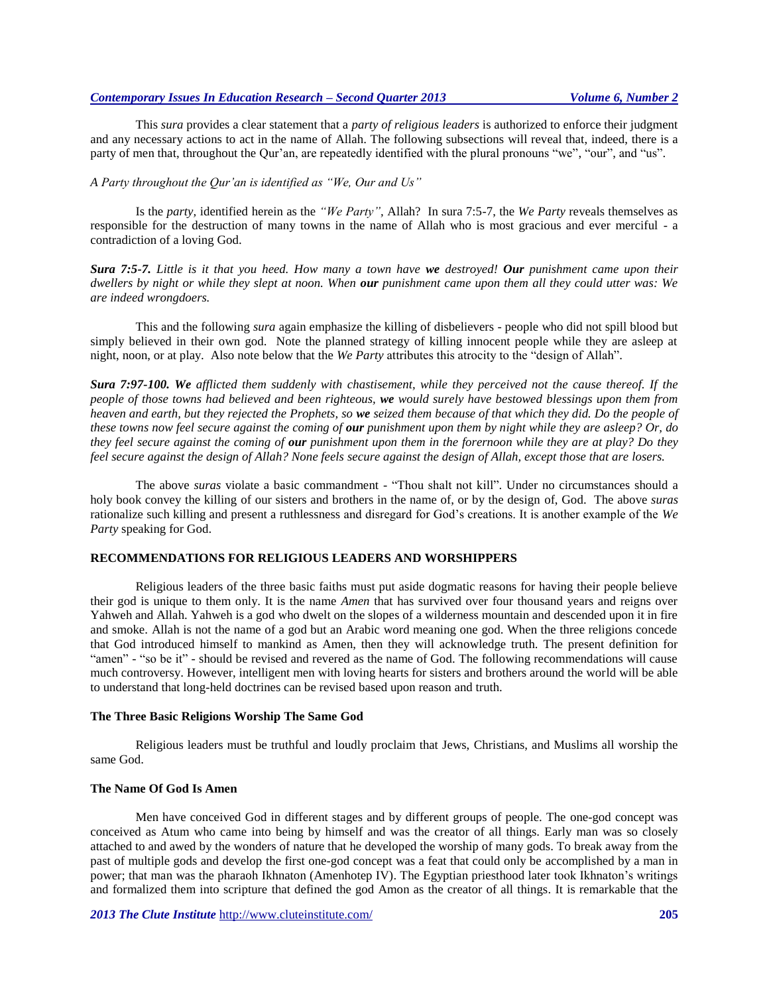# *Contemporary Issues In Education Research – Second Quarter 2013 Volume 6, Number 2*

This *sura* provides a clear statement that a *party of religious leaders* is authorized to enforce their judgment and any necessary actions to act in the name of Allah. The following subsections will reveal that, indeed, there is a party of men that, throughout the Qur'an, are repeatedly identified with the plural pronouns "we", "our", and "us".

# *A Party throughout the Qur'an is identified as "We, Our and Us"*

Is the *party,* identified herein as the *"We Party",* Allah? In sura 7:5-7, the *We Party* reveals themselves as responsible for the destruction of many towns in the name of Allah who is most gracious and ever merciful - a contradiction of a loving God.

*Sura 7:5-7. Little is it that you heed. How many a town have we destroyed! Our punishment came upon their dwellers by night or while they slept at noon. When our punishment came upon them all they could utter was: We are indeed wrongdoers.*

This and the following *sura* again emphasize the killing of disbelievers - people who did not spill blood but simply believed in their own god. Note the planned strategy of killing innocent people while they are asleep at night, noon, or at play. Also note below that the *We Party* attributes this atrocity to the "design of Allah".

*Sura 7:97-100. We afflicted them suddenly with chastisement, while they perceived not the cause thereof. If the people of those towns had believed and been righteous, we would surely have bestowed blessings upon them from heaven and earth, but they rejected the Prophets, so we seized them because of that which they did. Do the people of these towns now feel secure against the coming of our punishment upon them by night while they are asleep? Or, do they feel secure against the coming of our punishment upon them in the forernoon while they are at play? Do they feel secure against the design of Allah? None feels secure against the design of Allah, except those that are losers.*

The above *suras* violate a basic commandment - "Thou shalt not kill". Under no circumstances should a holy book convey the killing of our sisters and brothers in the name of, or by the design of, God. The above *suras*  rationalize such killing and present a ruthlessness and disregard for God's creations. It is another example of the *We Party* speaking for God.

# **RECOMMENDATIONS FOR RELIGIOUS LEADERS AND WORSHIPPERS**

Religious leaders of the three basic faiths must put aside dogmatic reasons for having their people believe their god is unique to them only. It is the name *Amen* that has survived over four thousand years and reigns over Yahweh and Allah. Yahweh is a god who dwelt on the slopes of a wilderness mountain and descended upon it in fire and smoke. Allah is not the name of a god but an Arabic word meaning one god. When the three religions concede that God introduced himself to mankind as Amen, then they will acknowledge truth. The present definition for "amen" - "so be it" - should be revised and revered as the name of God. The following recommendations will cause much controversy. However, intelligent men with loving hearts for sisters and brothers around the world will be able to understand that long-held doctrines can be revised based upon reason and truth.

### **The Three Basic Religions Worship The Same God**

Religious leaders must be truthful and loudly proclaim that Jews, Christians, and Muslims all worship the same God.

# **The Name Of God Is Amen**

Men have conceived God in different stages and by different groups of people. The one-god concept was conceived as Atum who came into being by himself and was the creator of all things. Early man was so closely attached to and awed by the wonders of nature that he developed the worship of many gods. To break away from the past of multiple gods and develop the first one-god concept was a feat that could only be accomplished by a man in power; that man was the pharaoh Ikhnaton (Amenhotep IV). The Egyptian priesthood later took Ikhnaton's writings and formalized them into scripture that defined the god Amon as the creator of all things. It is remarkable that the

*2013 The Clute Institute* <http://www.cluteinstitute.com/> **205**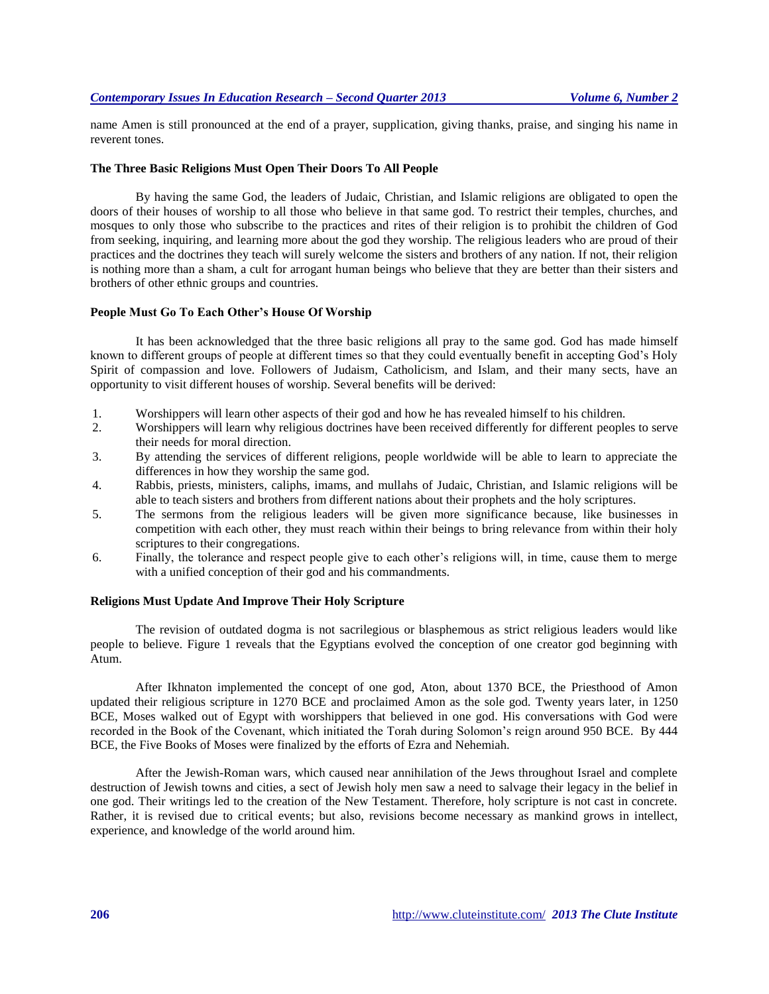name Amen is still pronounced at the end of a prayer, supplication, giving thanks, praise, and singing his name in reverent tones.

#### **The Three Basic Religions Must Open Their Doors To All People**

By having the same God, the leaders of Judaic, Christian, and Islamic religions are obligated to open the doors of their houses of worship to all those who believe in that same god. To restrict their temples, churches, and mosques to only those who subscribe to the practices and rites of their religion is to prohibit the children of God from seeking, inquiring, and learning more about the god they worship. The religious leaders who are proud of their practices and the doctrines they teach will surely welcome the sisters and brothers of any nation. If not, their religion is nothing more than a sham, a cult for arrogant human beings who believe that they are better than their sisters and brothers of other ethnic groups and countries.

# **People Must Go To Each Other's House Of Worship**

It has been acknowledged that the three basic religions all pray to the same god. God has made himself known to different groups of people at different times so that they could eventually benefit in accepting God's Holy Spirit of compassion and love. Followers of Judaism, Catholicism, and Islam, and their many sects, have an opportunity to visit different houses of worship. Several benefits will be derived:

- 1. Worshippers will learn other aspects of their god and how he has revealed himself to his children.
- 2. Worshippers will learn why religious doctrines have been received differently for different peoples to serve their needs for moral direction.
- 3. By attending the services of different religions, people worldwide will be able to learn to appreciate the differences in how they worship the same god.
- 4. Rabbis, priests, ministers, caliphs, imams, and mullahs of Judaic, Christian, and Islamic religions will be able to teach sisters and brothers from different nations about their prophets and the holy scriptures.
- 5. The sermons from the religious leaders will be given more significance because, like businesses in competition with each other, they must reach within their beings to bring relevance from within their holy scriptures to their congregations.
- 6. Finally, the tolerance and respect people give to each other's religions will, in time, cause them to merge with a unified conception of their god and his commandments.

# **Religions Must Update And Improve Their Holy Scripture**

The revision of outdated dogma is not sacrilegious or blasphemous as strict religious leaders would like people to believe. Figure 1 reveals that the Egyptians evolved the conception of one creator god beginning with Atum.

After Ikhnaton implemented the concept of one god, Aton, about 1370 BCE, the Priesthood of Amon updated their religious scripture in 1270 BCE and proclaimed Amon as the sole god*.* Twenty years later, in 1250 BCE, Moses walked out of Egypt with worshippers that believed in one god. His conversations with God were recorded in the Book of the Covenant, which initiated the Torah during Solomon's reign around 950 BCE. By 444 BCE, the Five Books of Moses were finalized by the efforts of Ezra and Nehemiah.

After the Jewish-Roman wars, which caused near annihilation of the Jews throughout Israel and complete destruction of Jewish towns and cities, a sect of Jewish holy men saw a need to salvage their legacy in the belief in one god. Their writings led to the creation of the New Testament. Therefore, holy scripture is not cast in concrete. Rather, it is revised due to critical events; but also, revisions become necessary as mankind grows in intellect, experience, and knowledge of the world around him.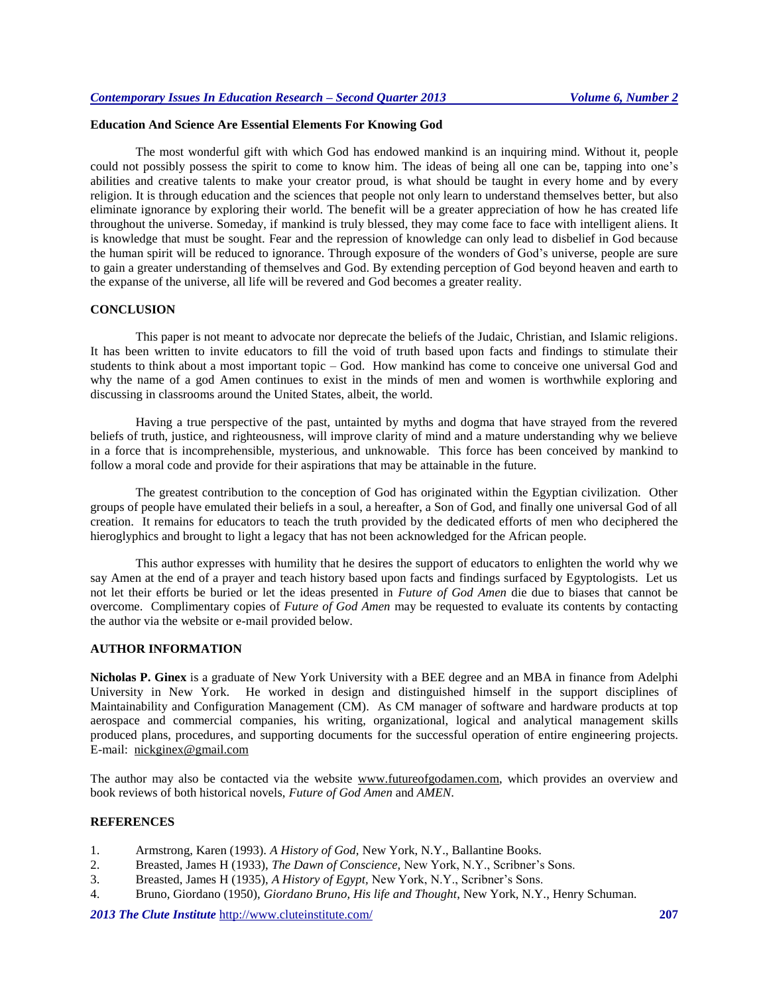# **Education And Science Are Essential Elements For Knowing God**

The most wonderful gift with which God has endowed mankind is an inquiring mind. Without it, people could not possibly possess the spirit to come to know him. The ideas of being all one can be, tapping into one's abilities and creative talents to make your creator proud, is what should be taught in every home and by every religion. It is through education and the sciences that people not only learn to understand themselves better, but also eliminate ignorance by exploring their world. The benefit will be a greater appreciation of how he has created life throughout the universe. Someday, if mankind is truly blessed, they may come face to face with intelligent aliens. It is knowledge that must be sought. Fear and the repression of knowledge can only lead to disbelief in God because the human spirit will be reduced to ignorance. Through exposure of the wonders of God's universe, people are sure to gain a greater understanding of themselves and God. By extending perception of God beyond heaven and earth to the expanse of the universe, all life will be revered and God becomes a greater reality.

#### **CONCLUSION**

This paper is not meant to advocate nor deprecate the beliefs of the Judaic, Christian, and Islamic religions. It has been written to invite educators to fill the void of truth based upon facts and findings to stimulate their students to think about a most important topic – God. How mankind has come to conceive one universal God and why the name of a god Amen continues to exist in the minds of men and women is worthwhile exploring and discussing in classrooms around the United States, albeit, the world.

Having a true perspective of the past, untainted by myths and dogma that have strayed from the revered beliefs of truth, justice, and righteousness, will improve clarity of mind and a mature understanding why we believe in a force that is incomprehensible, mysterious, and unknowable. This force has been conceived by mankind to follow a moral code and provide for their aspirations that may be attainable in the future.

The greatest contribution to the conception of God has originated within the Egyptian civilization. Other groups of people have emulated their beliefs in a soul, a hereafter, a Son of God, and finally one universal God of all creation. It remains for educators to teach the truth provided by the dedicated efforts of men who deciphered the hieroglyphics and brought to light a legacy that has not been acknowledged for the African people.

This author expresses with humility that he desires the support of educators to enlighten the world why we say Amen at the end of a prayer and teach history based upon facts and findings surfaced by Egyptologists. Let us not let their efforts be buried or let the ideas presented in *Future of God Amen* die due to biases that cannot be overcome. Complimentary copies of *Future of God Amen* may be requested to evaluate its contents by contacting the author via the website or e-mail provided below.

#### **AUTHOR INFORMATION**

**Nicholas P. Ginex** is a graduate of New York University with a BEE degree and an MBA in finance from Adelphi University in New York. He worked in design and distinguished himself in the support disciplines of Maintainability and Configuration Management (CM). As CM manager of software and hardware products at top aerospace and commercial companies, his writing, organizational, logical and analytical management skills produced plans, procedures, and supporting documents for the successful operation of entire engineering projects. E-mail: [nickginex@gmail.com](mailto:nickginex@gmail.com)

The author may also be contacted via the website [www.futureofgodamen.com,](http://www.futureofgodamen.com/) which provides an overview and book reviews of both historical novels, *Future of God Amen* and *AMEN*.

# **REFERENCES**

- 1. Armstrong, Karen (1993). *A History of God,* New York, N.Y., Ballantine Books.
- 2. Breasted, James H (1933), *The Dawn of Conscience,* New York, N.Y., Scribner's Sons.
- 3. Breasted, James H (1935), *A History of Egypt,* New York, N.Y., Scribner's Sons.
- 4. Bruno, Giordano (1950), *Giordano Bruno, His life and Thought*, New York, N.Y., Henry Schuman.

*2013 The Clute Institute* <http://www.cluteinstitute.com/> **207**